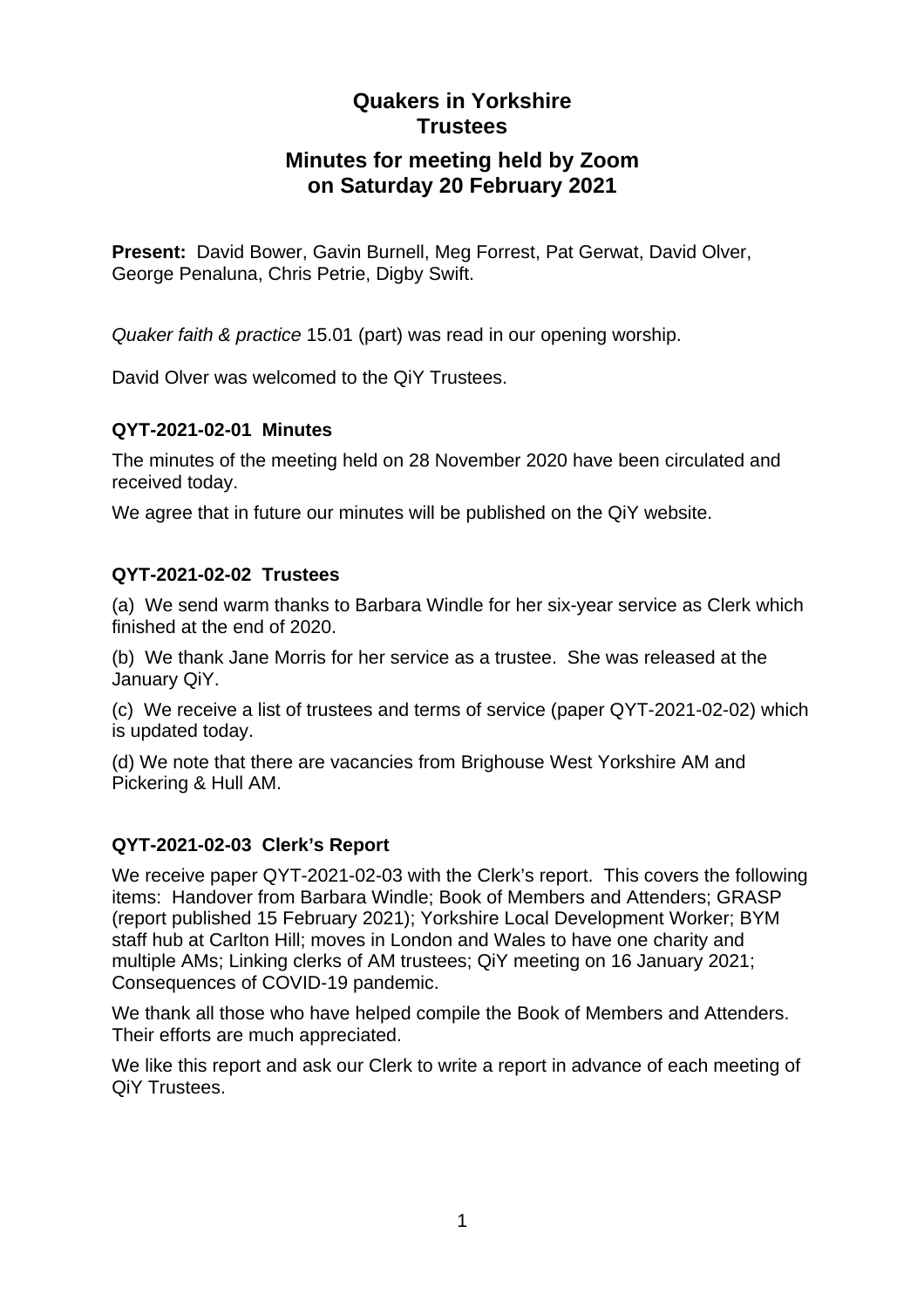# **Minutes for meeting held by Zoom on Saturday 20 February 2021**

**Present:** David Bower, Gavin Burnell, Meg Forrest, Pat Gerwat, David Olver, George Penaluna, Chris Petrie, Digby Swift.

*Quaker faith & practice* 15.01 (part) was read in our opening worship.

David Olver was welcomed to the QiY Trustees.

# **QYT-2021-02-01 Minutes**

The minutes of the meeting held on 28 November 2020 have been circulated and received today.

We agree that in future our minutes will be published on the QiY website.

# **QYT-2021-02-02 Trustees**

(a) We send warm thanks to Barbara Windle for her six-year service as Clerk which finished at the end of 2020.

(b) We thank Jane Morris for her service as a trustee. She was released at the January QiY.

(c) We receive a list of trustees and terms of service (paper QYT-2021-02-02) which is updated today.

(d) We note that there are vacancies from Brighouse West Yorkshire AM and Pickering & Hull AM.

# **QYT-2021-02-03 Clerk's Report**

We receive paper QYT-2021-02-03 with the Clerk's report. This covers the following items: Handover from Barbara Windle; Book of Members and Attenders; GRASP (report published 15 February 2021); Yorkshire Local Development Worker; BYM staff hub at Carlton Hill; moves in London and Wales to have one charity and multiple AMs; Linking clerks of AM trustees; QiY meeting on 16 January 2021; Consequences of COVID-19 pandemic.

We thank all those who have helped compile the Book of Members and Attenders. Their efforts are much appreciated.

We like this report and ask our Clerk to write a report in advance of each meeting of QiY Trustees.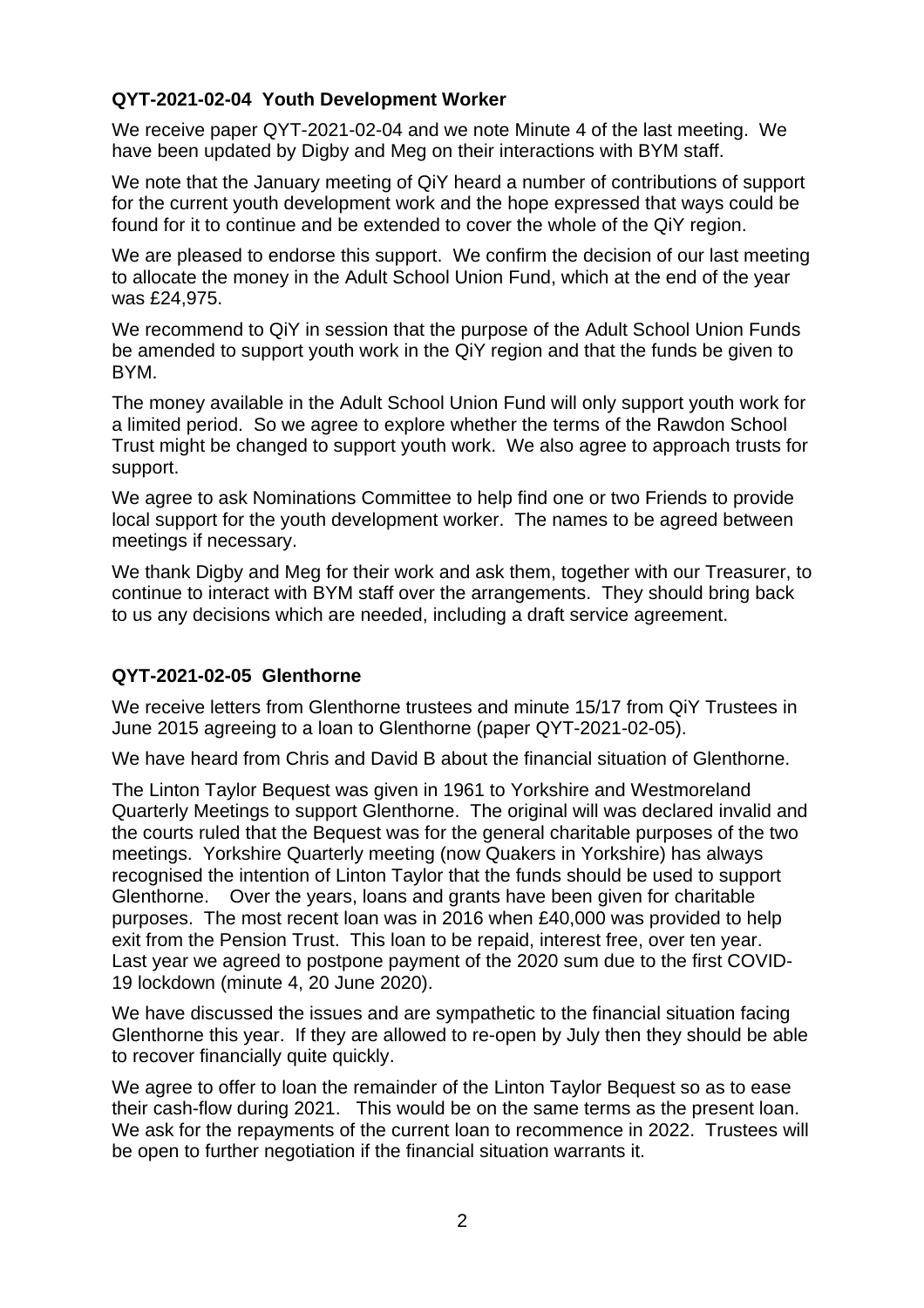### **QYT-2021-02-04 Youth Development Worker**

We receive paper QYT-2021-02-04 and we note Minute 4 of the last meeting. We have been updated by Digby and Meg on their interactions with BYM staff.

We note that the January meeting of QiY heard a number of contributions of support for the current youth development work and the hope expressed that ways could be found for it to continue and be extended to cover the whole of the QiY region.

We are pleased to endorse this support. We confirm the decision of our last meeting to allocate the money in the Adult School Union Fund, which at the end of the year was £24,975.

We recommend to QiY in session that the purpose of the Adult School Union Funds be amended to support youth work in the QiY region and that the funds be given to BYM.

The money available in the Adult School Union Fund will only support youth work for a limited period. So we agree to explore whether the terms of the Rawdon School Trust might be changed to support youth work. We also agree to approach trusts for support.

We agree to ask Nominations Committee to help find one or two Friends to provide local support for the youth development worker. The names to be agreed between meetings if necessary.

We thank Digby and Meg for their work and ask them, together with our Treasurer, to continue to interact with BYM staff over the arrangements. They should bring back to us any decisions which are needed, including a draft service agreement.

# **QYT-2021-02-05 Glenthorne**

We receive letters from Glenthorne trustees and minute 15/17 from QiY Trustees in June 2015 agreeing to a loan to Glenthorne (paper QYT-2021-02-05).

We have heard from Chris and David B about the financial situation of Glenthorne.

The Linton Taylor Bequest was given in 1961 to Yorkshire and Westmoreland Quarterly Meetings to support Glenthorne. The original will was declared invalid and the courts ruled that the Bequest was for the general charitable purposes of the two meetings. Yorkshire Quarterly meeting (now Quakers in Yorkshire) has always recognised the intention of Linton Taylor that the funds should be used to support Glenthorne. Over the years, loans and grants have been given for charitable purposes. The most recent loan was in 2016 when £40,000 was provided to help exit from the Pension Trust. This loan to be repaid, interest free, over ten year. Last year we agreed to postpone payment of the 2020 sum due to the first COVID-19 lockdown (minute 4, 20 June 2020).

We have discussed the issues and are sympathetic to the financial situation facing Glenthorne this year. If they are allowed to re-open by July then they should be able to recover financially quite quickly.

We agree to offer to loan the remainder of the Linton Taylor Bequest so as to ease their cash-flow during 2021. This would be on the same terms as the present loan. We ask for the repayments of the current loan to recommence in 2022. Trustees will be open to further negotiation if the financial situation warrants it.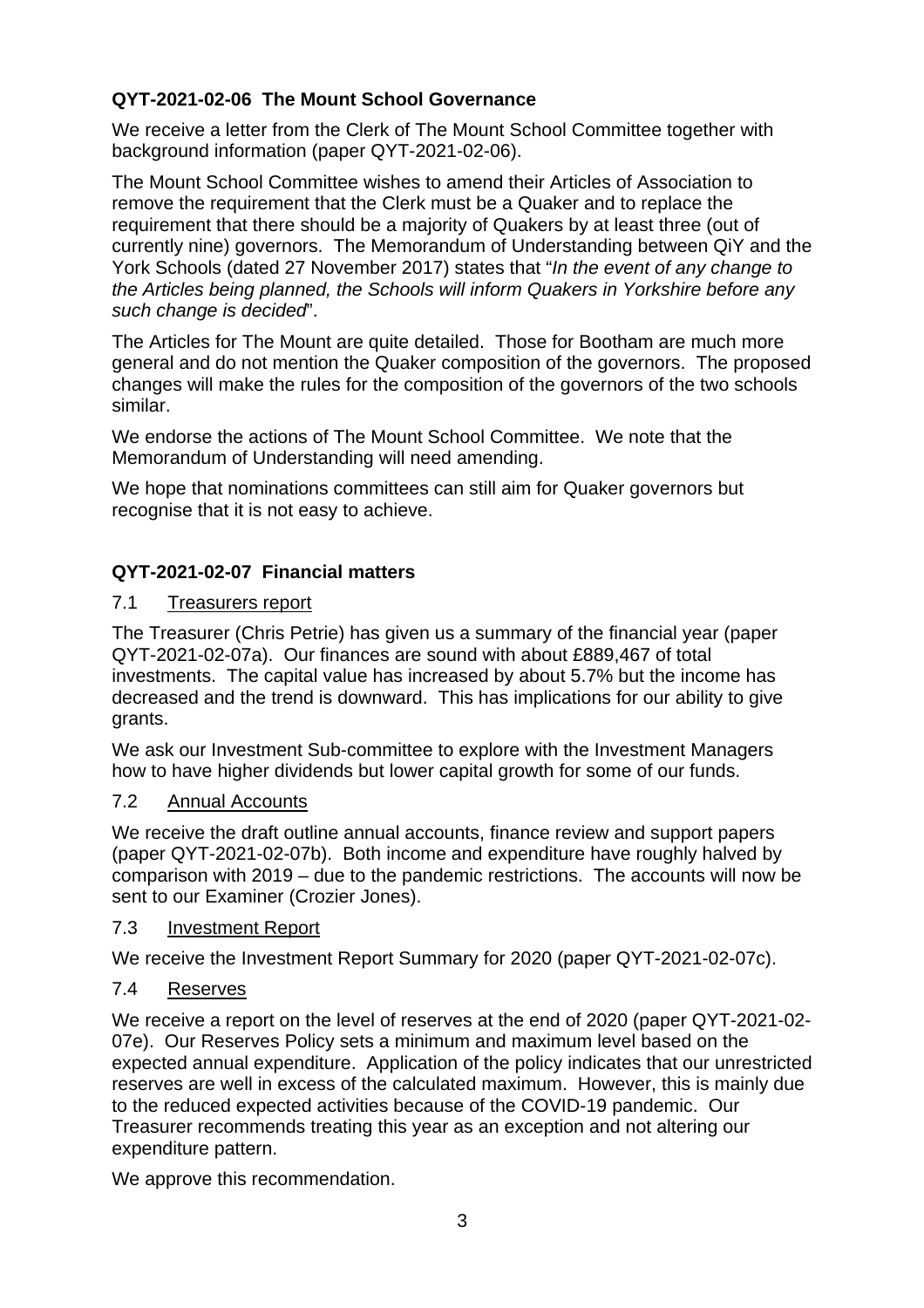# **QYT-2021-02-06 The Mount School Governance**

We receive a letter from the Clerk of The Mount School Committee together with background information (paper QYT-2021-02-06).

The Mount School Committee wishes to amend their Articles of Association to remove the requirement that the Clerk must be a Quaker and to replace the requirement that there should be a majority of Quakers by at least three (out of currently nine) governors. The Memorandum of Understanding between QiY and the York Schools (dated 27 November 2017) states that "*In the event of any change to the Articles being planned, the Schools will inform Quakers in Yorkshire before any such change is decided*".

The Articles for The Mount are quite detailed. Those for Bootham are much more general and do not mention the Quaker composition of the governors. The proposed changes will make the rules for the composition of the governors of the two schools similar.

We endorse the actions of The Mount School Committee. We note that the Memorandum of Understanding will need amending.

We hope that nominations committees can still aim for Quaker governors but recognise that it is not easy to achieve.

# **QYT-2021-02-07 Financial matters**

# 7.1 Treasurers report

The Treasurer (Chris Petrie) has given us a summary of the financial year (paper QYT-2021-02-07a). Our finances are sound with about £889,467 of total investments. The capital value has increased by about 5.7% but the income has decreased and the trend is downward. This has implications for our ability to give grants.

We ask our Investment Sub-committee to explore with the Investment Managers how to have higher dividends but lower capital growth for some of our funds.

# 7.2 Annual Accounts

We receive the draft outline annual accounts, finance review and support papers (paper QYT-2021-02-07b). Both income and expenditure have roughly halved by comparison with 2019 – due to the pandemic restrictions. The accounts will now be sent to our Examiner (Crozier Jones).

### 7.3 Investment Report

We receive the Investment Report Summary for 2020 (paper QYT-2021-02-07c).

# 7.4 Reserves

We receive a report on the level of reserves at the end of 2020 (paper QYT-2021-02- 07e). Our Reserves Policy sets a minimum and maximum level based on the expected annual expenditure. Application of the policy indicates that our unrestricted reserves are well in excess of the calculated maximum. However, this is mainly due to the reduced expected activities because of the COVID-19 pandemic. Our Treasurer recommends treating this year as an exception and not altering our expenditure pattern.

We approve this recommendation.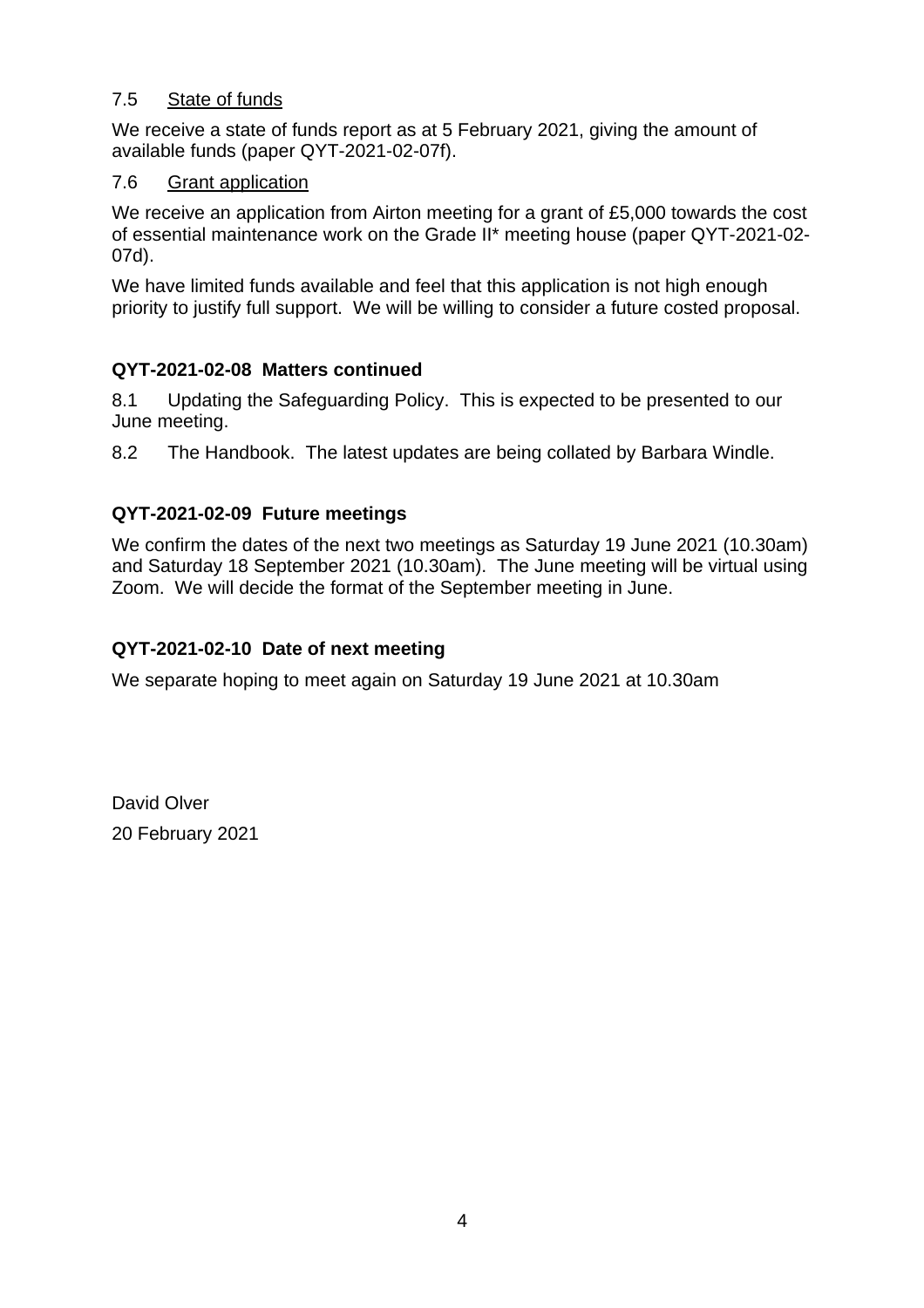### 7.5 State of funds

We receive a state of funds report as at 5 February 2021, giving the amount of available funds (paper QYT-2021-02-07f).

### 7.6 Grant application

We receive an application from Airton meeting for a grant of £5,000 towards the cost of essential maintenance work on the Grade II\* meeting house (paper QYT-2021-02- 07d).

We have limited funds available and feel that this application is not high enough priority to justify full support. We will be willing to consider a future costed proposal.

# **QYT-2021-02-08 Matters continued**

8.1 Updating the Safeguarding Policy. This is expected to be presented to our June meeting.

8.2 The Handbook. The latest updates are being collated by Barbara Windle.

# **QYT-2021-02-09 Future meetings**

We confirm the dates of the next two meetings as Saturday 19 June 2021 (10.30am) and Saturday 18 September 2021 (10.30am). The June meeting will be virtual using Zoom. We will decide the format of the September meeting in June.

# **QYT-2021-02-10 Date of next meeting**

We separate hoping to meet again on Saturday 19 June 2021 at 10.30am

David Olver 20 February 2021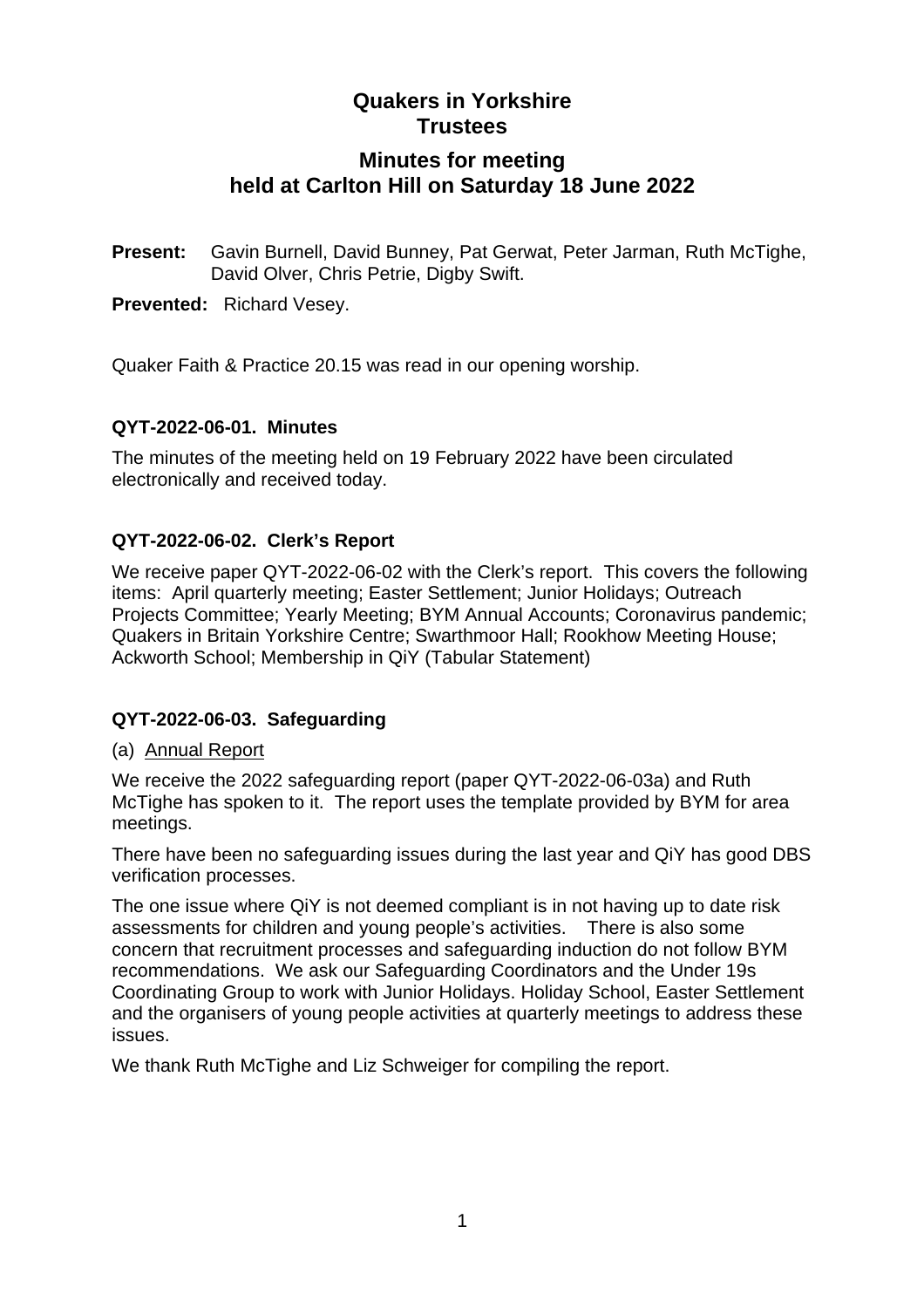# **Minutes for meeting held at Carlton Hill on Saturday 18 June 2022**

**Present:** Gavin Burnell, David Bunney, Pat Gerwat, Peter Jarman, Ruth McTighe, David Olver, Chris Petrie, Digby Swift.

**Prevented:** Richard Vesey.

Quaker Faith & Practice 20.15 was read in our opening worship.

### **QYT-2022-06-01. Minutes**

The minutes of the meeting held on 19 February 2022 have been circulated electronically and received today.

### **QYT-2022-06-02. Clerk's Report**

We receive paper QYT-2022-06-02 with the Clerk's report. This covers the following items: April quarterly meeting; Easter Settlement; Junior Holidays; Outreach Projects Committee; Yearly Meeting; BYM Annual Accounts; Coronavirus pandemic; Quakers in Britain Yorkshire Centre; Swarthmoor Hall; Rookhow Meeting House; Ackworth School; Membership in QiY (Tabular Statement)

# **QYT-2022-06-03. Safeguarding**

### (a) Annual Report

We receive the 2022 safeguarding report (paper QYT-2022-06-03a) and Ruth McTighe has spoken to it. The report uses the template provided by BYM for area meetings.

There have been no safeguarding issues during the last year and QiY has good DBS verification processes.

The one issue where QiY is not deemed compliant is in not having up to date risk assessments for children and young people's activities. There is also some concern that recruitment processes and safeguarding induction do not follow BYM recommendations. We ask our Safeguarding Coordinators and the Under 19s Coordinating Group to work with Junior Holidays. Holiday School, Easter Settlement and the organisers of young people activities at quarterly meetings to address these issues.

We thank Ruth McTighe and Liz Schweiger for compiling the report.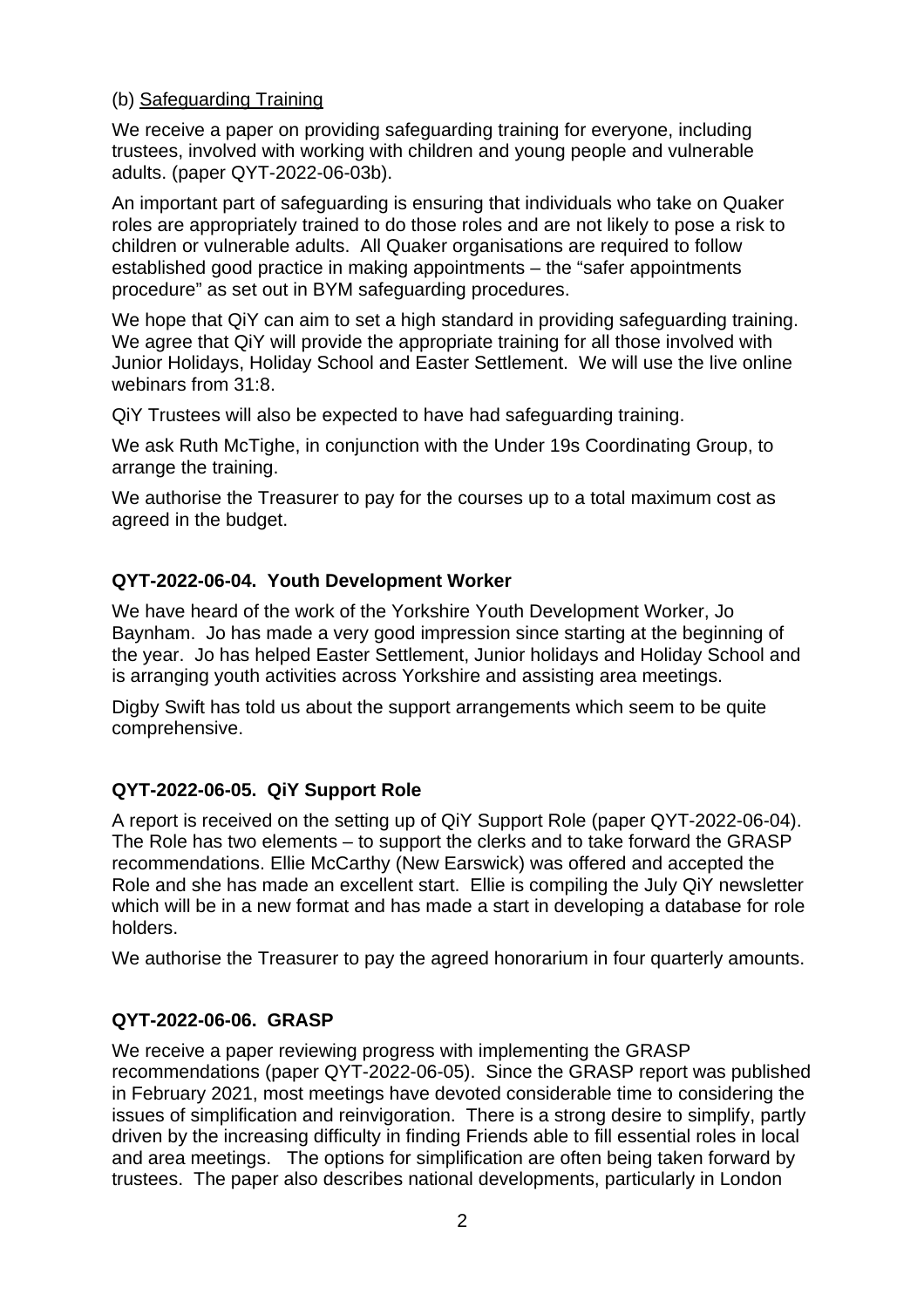### (b) Safeguarding Training

We receive a paper on providing safeguarding training for everyone, including trustees, involved with working with children and young people and vulnerable adults. (paper QYT-2022-06-03b).

An important part of safeguarding is ensuring that individuals who take on Quaker roles are appropriately trained to do those roles and are not likely to pose a risk to children or vulnerable adults. All Quaker organisations are required to follow established good practice in making appointments – the "safer appointments procedure" as set out in BYM safeguarding procedures.

We hope that QiY can aim to set a high standard in providing safeguarding training. We agree that QiY will provide the appropriate training for all those involved with Junior Holidays, Holiday School and Easter Settlement. We will use the live online webinars from 31:8.

QiY Trustees will also be expected to have had safeguarding training.

We ask Ruth McTighe, in conjunction with the Under 19s Coordinating Group, to arrange the training.

We authorise the Treasurer to pay for the courses up to a total maximum cost as agreed in the budget.

# **QYT-2022-06-04. Youth Development Worker**

We have heard of the work of the Yorkshire Youth Development Worker, Jo Baynham. Jo has made a very good impression since starting at the beginning of the year. Jo has helped Easter Settlement, Junior holidays and Holiday School and is arranging youth activities across Yorkshire and assisting area meetings.

Digby Swift has told us about the support arrangements which seem to be quite comprehensive.

# **QYT-2022-06-05. QiY Support Role**

A report is received on the setting up of QiY Support Role (paper QYT-2022-06-04). The Role has two elements – to support the clerks and to take forward the GRASP recommendations. Ellie McCarthy (New Earswick) was offered and accepted the Role and she has made an excellent start. Ellie is compiling the July QiY newsletter which will be in a new format and has made a start in developing a database for role holders.

We authorise the Treasurer to pay the agreed honorarium in four quarterly amounts.

# **QYT-2022-06-06. GRASP**

We receive a paper reviewing progress with implementing the GRASP recommendations (paper QYT-2022-06-05). Since the GRASP report was published in February 2021, most meetings have devoted considerable time to considering the issues of simplification and reinvigoration. There is a strong desire to simplify, partly driven by the increasing difficulty in finding Friends able to fill essential roles in local and area meetings. The options for simplification are often being taken forward by trustees. The paper also describes national developments, particularly in London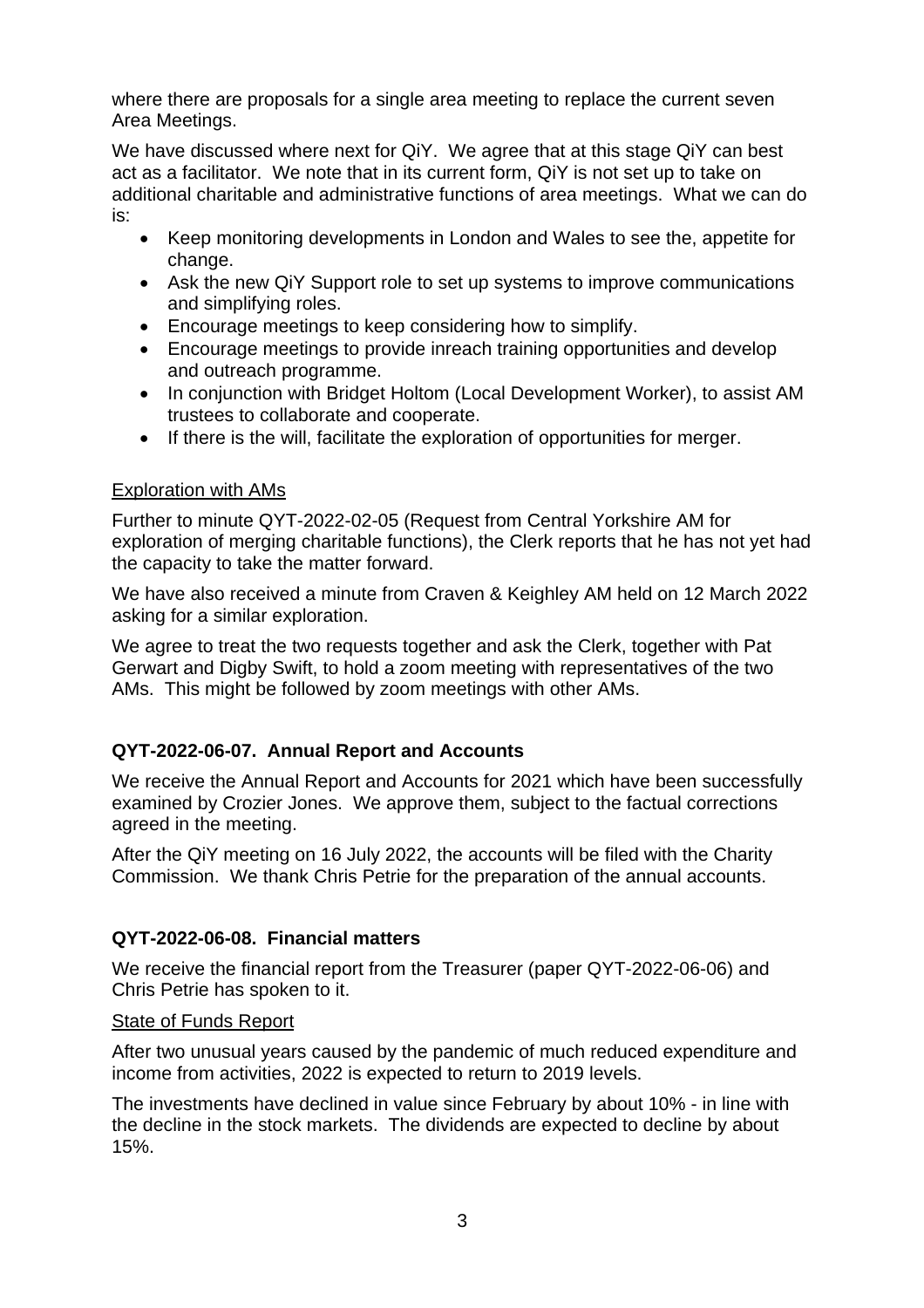where there are proposals for a single area meeting to replace the current seven Area Meetings.

We have discussed where next for QiY. We agree that at this stage QiY can best act as a facilitator. We note that in its current form, QiY is not set up to take on additional charitable and administrative functions of area meetings. What we can do is:

- Keep monitoring developments in London and Wales to see the, appetite for change.
- Ask the new QiY Support role to set up systems to improve communications and simplifying roles.
- Encourage meetings to keep considering how to simplify.
- Encourage meetings to provide inreach training opportunities and develop and outreach programme.
- In conjunction with Bridget Holtom (Local Development Worker), to assist AM trustees to collaborate and cooperate.
- If there is the will, facilitate the exploration of opportunities for merger.

# Exploration with AMs

Further to minute QYT-2022-02-05 (Request from Central Yorkshire AM for exploration of merging charitable functions), the Clerk reports that he has not yet had the capacity to take the matter forward.

We have also received a minute from Craven & Keighley AM held on 12 March 2022 asking for a similar exploration.

We agree to treat the two requests together and ask the Clerk, together with Pat Gerwart and Digby Swift, to hold a zoom meeting with representatives of the two AMs. This might be followed by zoom meetings with other AMs.

# **QYT-2022-06-07. Annual Report and Accounts**

We receive the Annual Report and Accounts for 2021 which have been successfully examined by Crozier Jones. We approve them, subject to the factual corrections agreed in the meeting.

After the QiY meeting on 16 July 2022, the accounts will be filed with the Charity Commission. We thank Chris Petrie for the preparation of the annual accounts.

# **QYT-2022-06-08. Financial matters**

We receive the financial report from the Treasurer (paper QYT-2022-06-06) and Chris Petrie has spoken to it.

### State of Funds Report

After two unusual years caused by the pandemic of much reduced expenditure and income from activities, 2022 is expected to return to 2019 levels.

The investments have declined in value since February by about 10% - in line with the decline in the stock markets. The dividends are expected to decline by about 15%.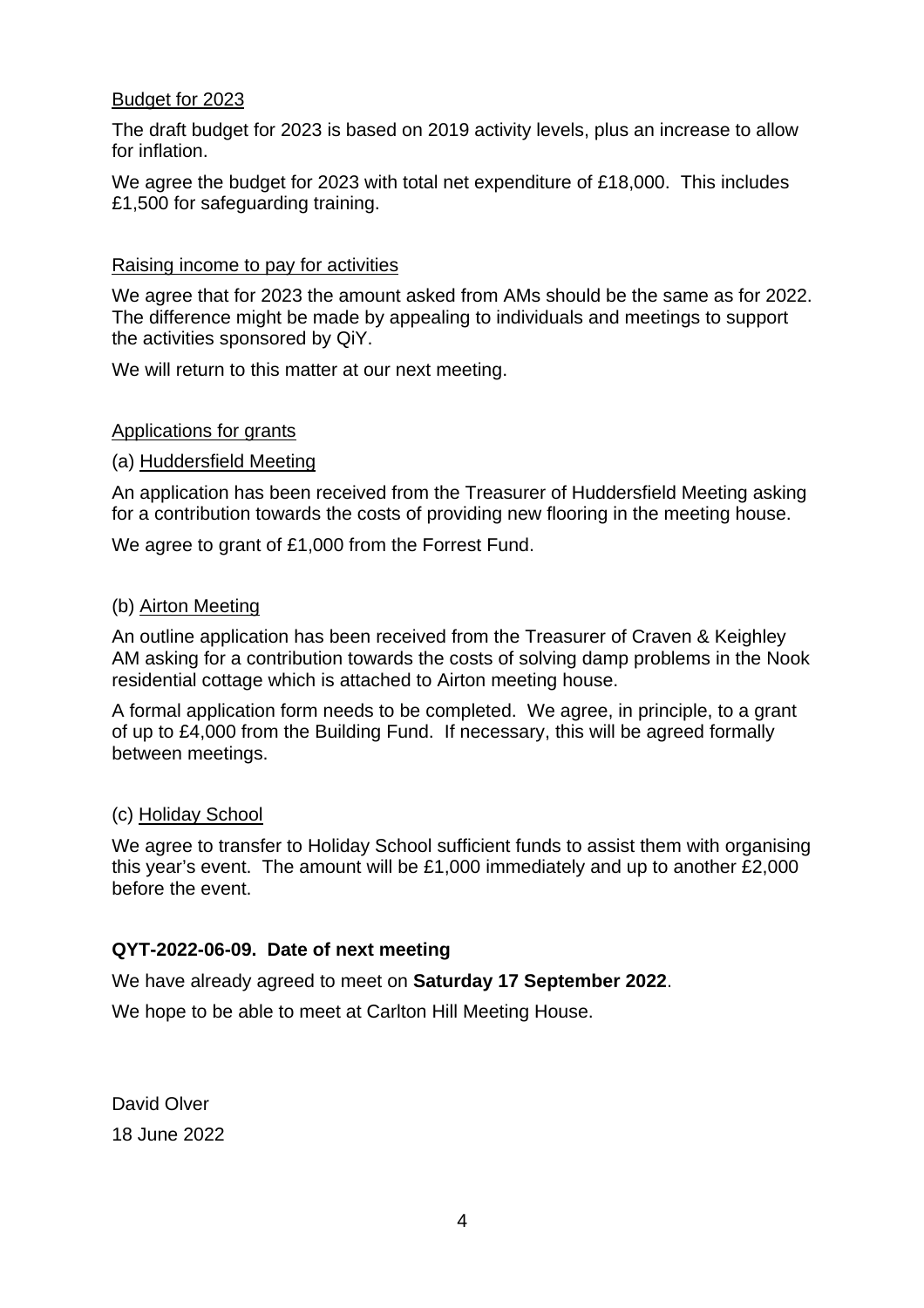### Budget for 2023

The draft budget for 2023 is based on 2019 activity levels, plus an increase to allow for inflation.

We agree the budget for 2023 with total net expenditure of £18,000. This includes £1,500 for safeguarding training.

### Raising income to pay for activities

We agree that for 2023 the amount asked from AMs should be the same as for 2022. The difference might be made by appealing to individuals and meetings to support the activities sponsored by QiY.

We will return to this matter at our next meeting.

#### Applications for grants

#### (a) Huddersfield Meeting

An application has been received from the Treasurer of Huddersfield Meeting asking for a contribution towards the costs of providing new flooring in the meeting house.

We agree to grant of £1,000 from the Forrest Fund.

#### (b) Airton Meeting

An outline application has been received from the Treasurer of Craven & Keighley AM asking for a contribution towards the costs of solving damp problems in the Nook residential cottage which is attached to Airton meeting house.

A formal application form needs to be completed. We agree, in principle, to a grant of up to £4,000 from the Building Fund. If necessary, this will be agreed formally between meetings.

#### (c) Holiday School

We agree to transfer to Holiday School sufficient funds to assist them with organising this year's event. The amount will be £1,000 immediately and up to another £2,000 before the event.

### **QYT-2022-06-09. Date of next meeting**

We have already agreed to meet on **Saturday 17 September 2022**.

We hope to be able to meet at Carlton Hill Meeting House.

David Olver 18 June 2022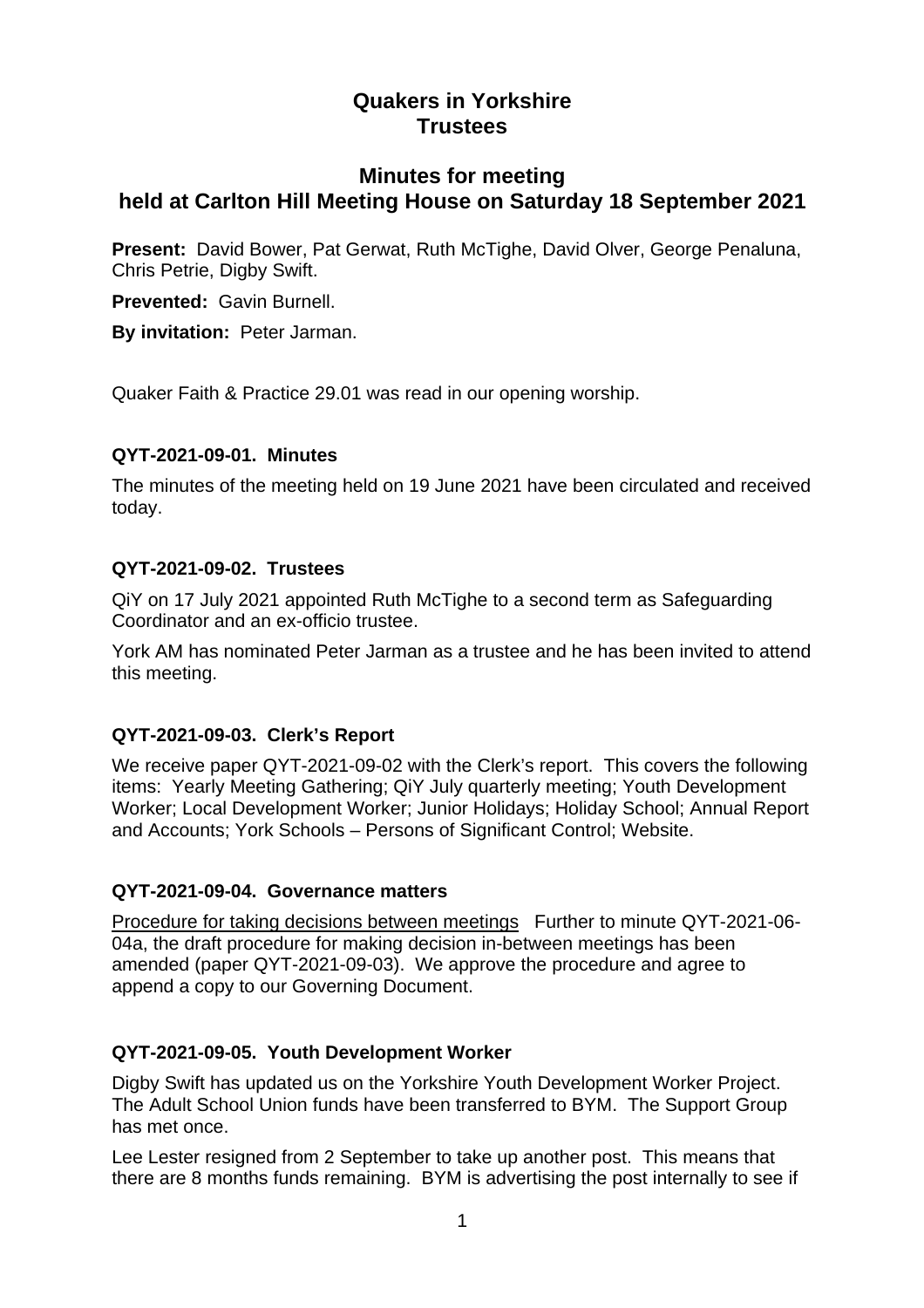# **Minutes for meeting held at Carlton Hill Meeting House on Saturday 18 September 2021**

**Present:** David Bower, Pat Gerwat, Ruth McTighe, David Olver, George Penaluna, Chris Petrie, Digby Swift.

**Prevented:** Gavin Burnell.

**By invitation:** Peter Jarman.

Quaker Faith & Practice 29.01 was read in our opening worship.

### **QYT-2021-09-01. Minutes**

The minutes of the meeting held on 19 June 2021 have been circulated and received today.

# **QYT-2021-09-02. Trustees**

QiY on 17 July 2021 appointed Ruth McTighe to a second term as Safeguarding Coordinator and an ex-officio trustee.

York AM has nominated Peter Jarman as a trustee and he has been invited to attend this meeting.

# **QYT-2021-09-03. Clerk's Report**

We receive paper QYT-2021-09-02 with the Clerk's report. This covers the following items: Yearly Meeting Gathering; QiY July quarterly meeting; Youth Development Worker; Local Development Worker; Junior Holidays; Holiday School; Annual Report and Accounts; York Schools – Persons of Significant Control; Website.

### **QYT-2021-09-04. Governance matters**

Procedure for taking decisions between meetings Further to minute QYT-2021-06- 04a, the draft procedure for making decision in-between meetings has been amended (paper QYT-2021-09-03). We approve the procedure and agree to append a copy to our Governing Document.

# **QYT-2021-09-05. Youth Development Worker**

Digby Swift has updated us on the Yorkshire Youth Development Worker Project. The Adult School Union funds have been transferred to BYM. The Support Group has met once.

Lee Lester resigned from 2 September to take up another post. This means that there are 8 months funds remaining. BYM is advertising the post internally to see if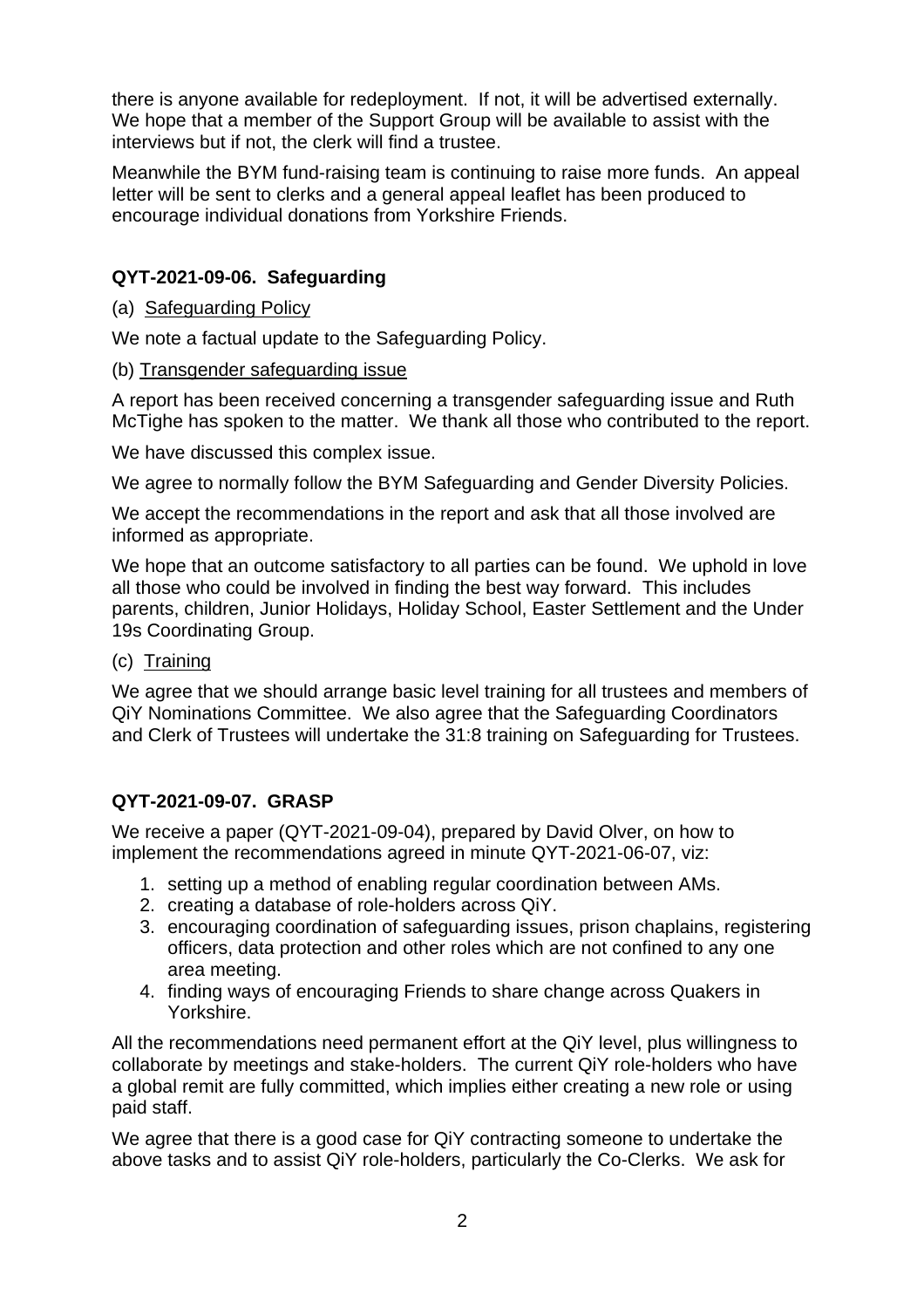there is anyone available for redeployment. If not, it will be advertised externally. We hope that a member of the Support Group will be available to assist with the interviews but if not, the clerk will find a trustee.

Meanwhile the BYM fund-raising team is continuing to raise more funds. An appeal letter will be sent to clerks and a general appeal leaflet has been produced to encourage individual donations from Yorkshire Friends.

# **QYT-2021-09-06. Safeguarding**

### (a) Safeguarding Policy

We note a factual update to the Safeguarding Policy.

(b) Transgender safeguarding issue

A report has been received concerning a transgender safeguarding issue and Ruth McTighe has spoken to the matter. We thank all those who contributed to the report.

We have discussed this complex issue.

We agree to normally follow the BYM Safeguarding and Gender Diversity Policies.

We accept the recommendations in the report and ask that all those involved are informed as appropriate.

We hope that an outcome satisfactory to all parties can be found. We uphold in love all those who could be involved in finding the best way forward. This includes parents, children, Junior Holidays, Holiday School, Easter Settlement and the Under 19s Coordinating Group.

### (c) Training

We agree that we should arrange basic level training for all trustees and members of QiY Nominations Committee. We also agree that the Safeguarding Coordinators and Clerk of Trustees will undertake the 31:8 training on Safeguarding for Trustees.

# **QYT-2021-09-07. GRASP**

We receive a paper (QYT-2021-09-04), prepared by David Olver, on how to implement the recommendations agreed in minute QYT-2021-06-07, viz:

- 1. setting up a method of enabling regular coordination between AMs.
- 2. creating a database of role-holders across QiY.
- 3. encouraging coordination of safeguarding issues, prison chaplains, registering officers, data protection and other roles which are not confined to any one area meeting.
- 4. finding ways of encouraging Friends to share change across Quakers in Yorkshire.

All the recommendations need permanent effort at the QiY level, plus willingness to collaborate by meetings and stake-holders. The current QiY role-holders who have a global remit are fully committed, which implies either creating a new role or using paid staff.

We agree that there is a good case for QiY contracting someone to undertake the above tasks and to assist QiY role-holders, particularly the Co-Clerks. We ask for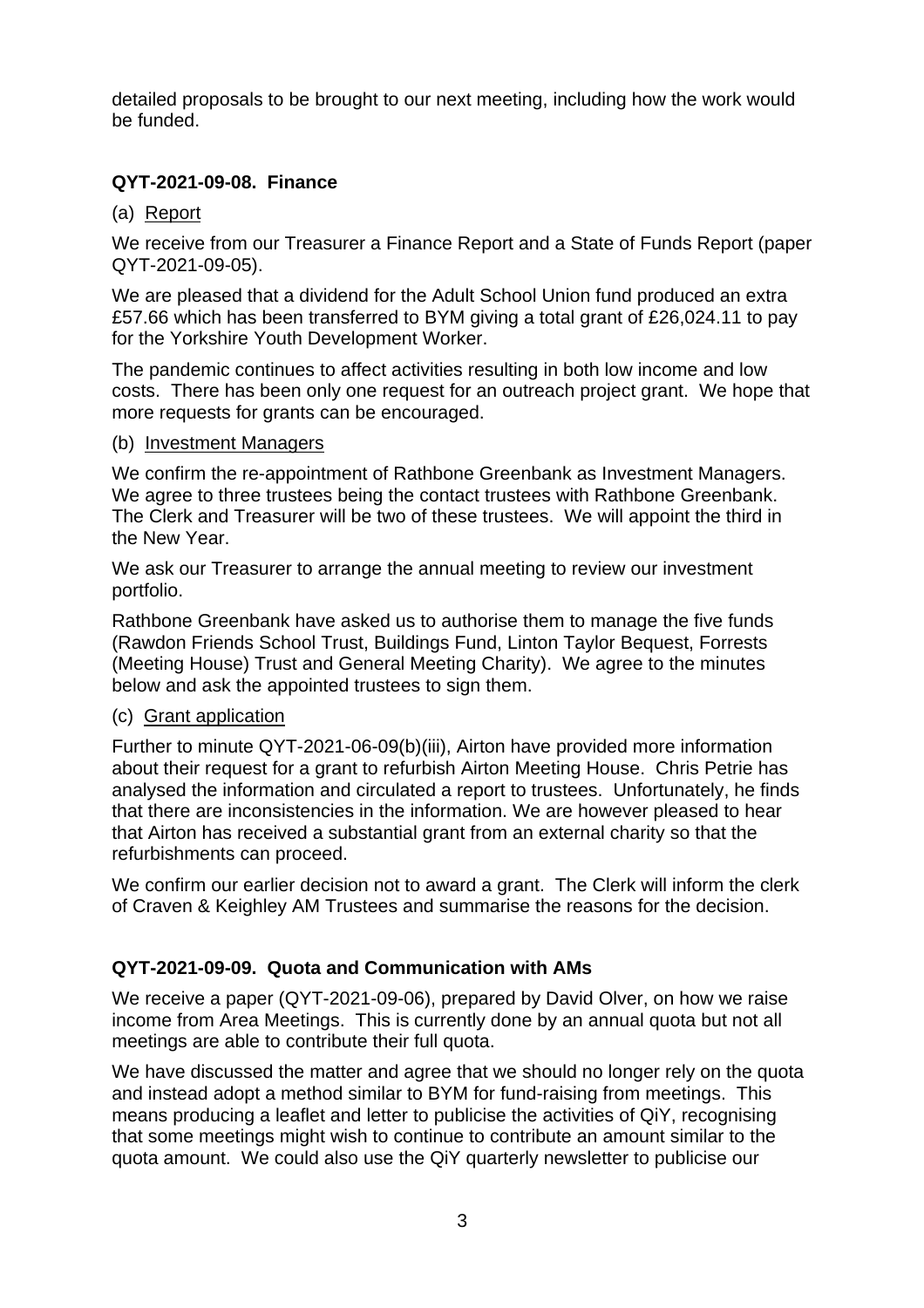detailed proposals to be brought to our next meeting, including how the work would be funded.

# **QYT-2021-09-08. Finance**

### (a) Report

We receive from our Treasurer a Finance Report and a State of Funds Report (paper QYT-2021-09-05).

We are pleased that a dividend for the Adult School Union fund produced an extra £57.66 which has been transferred to BYM giving a total grant of £26,024.11 to pay for the Yorkshire Youth Development Worker.

The pandemic continues to affect activities resulting in both low income and low costs. There has been only one request for an outreach project grant. We hope that more requests for grants can be encouraged.

#### (b) Investment Managers

We confirm the re-appointment of Rathbone Greenbank as Investment Managers. We agree to three trustees being the contact trustees with Rathbone Greenbank. The Clerk and Treasurer will be two of these trustees. We will appoint the third in the New Year.

We ask our Treasurer to arrange the annual meeting to review our investment portfolio.

Rathbone Greenbank have asked us to authorise them to manage the five funds (Rawdon Friends School Trust, Buildings Fund, Linton Taylor Bequest, Forrests (Meeting House) Trust and General Meeting Charity). We agree to the minutes below and ask the appointed trustees to sign them.

### (c) Grant application

Further to minute QYT-2021-06-09(b)(iii), Airton have provided more information about their request for a grant to refurbish Airton Meeting House. Chris Petrie has analysed the information and circulated a report to trustees. Unfortunately, he finds that there are inconsistencies in the information. We are however pleased to hear that Airton has received a substantial grant from an external charity so that the refurbishments can proceed.

We confirm our earlier decision not to award a grant. The Clerk will inform the clerk of Craven & Keighley AM Trustees and summarise the reasons for the decision.

# **QYT-2021-09-09. Quota and Communication with AMs**

We receive a paper (QYT-2021-09-06), prepared by David Olver, on how we raise income from Area Meetings. This is currently done by an annual quota but not all meetings are able to contribute their full quota.

We have discussed the matter and agree that we should no longer rely on the quota and instead adopt a method similar to BYM for fund-raising from meetings. This means producing a leaflet and letter to publicise the activities of QiY, recognising that some meetings might wish to continue to contribute an amount similar to the quota amount. We could also use the QiY quarterly newsletter to publicise our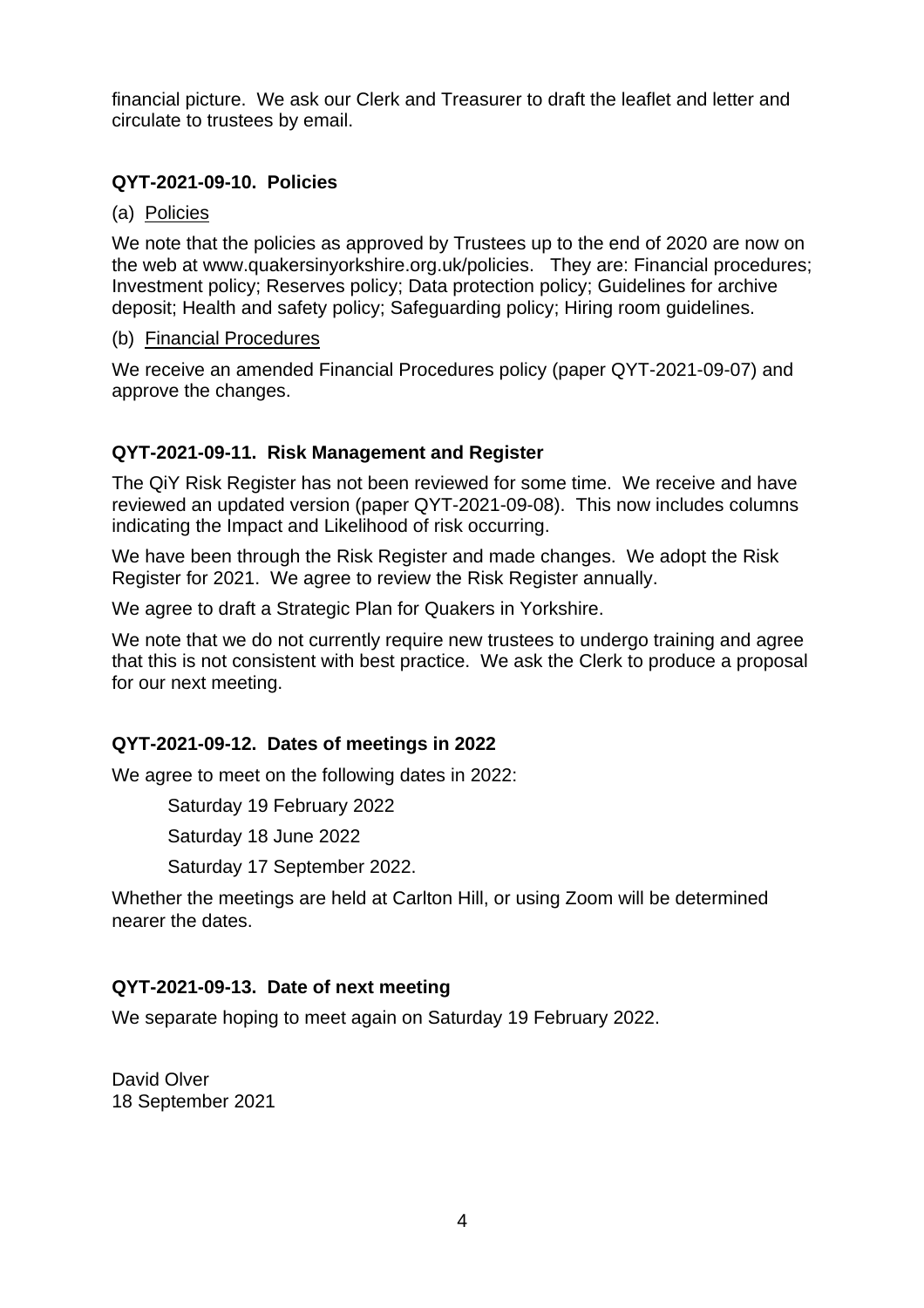financial picture. We ask our Clerk and Treasurer to draft the leaflet and letter and circulate to trustees by email.

### **QYT-2021-09-10. Policies**

### (a) Policies

We note that the policies as approved by Trustees up to the end of 2020 are now on the web at www.quakersinyorkshire.org.uk/policies. They are: Financial procedures; Investment policy; Reserves policy; Data protection policy; Guidelines for archive deposit; Health and safety policy; Safeguarding policy; Hiring room guidelines.

#### (b) Financial Procedures

We receive an amended Financial Procedures policy (paper QYT-2021-09-07) and approve the changes.

### **QYT-2021-09-11. Risk Management and Register**

The QiY Risk Register has not been reviewed for some time. We receive and have reviewed an updated version (paper QYT-2021-09-08). This now includes columns indicating the Impact and Likelihood of risk occurring.

We have been through the Risk Register and made changes. We adopt the Risk Register for 2021. We agree to review the Risk Register annually.

We agree to draft a Strategic Plan for Quakers in Yorkshire.

We note that we do not currently require new trustees to undergo training and agree that this is not consistent with best practice. We ask the Clerk to produce a proposal for our next meeting.

### **QYT-2021-09-12. Dates of meetings in 2022**

We agree to meet on the following dates in 2022:

Saturday 19 February 2022

Saturday 18 June 2022

Saturday 17 September 2022.

Whether the meetings are held at Carlton Hill, or using Zoom will be determined nearer the dates.

### **QYT-2021-09-13. Date of next meeting**

We separate hoping to meet again on Saturday 19 February 2022.

David Olver 18 September 2021